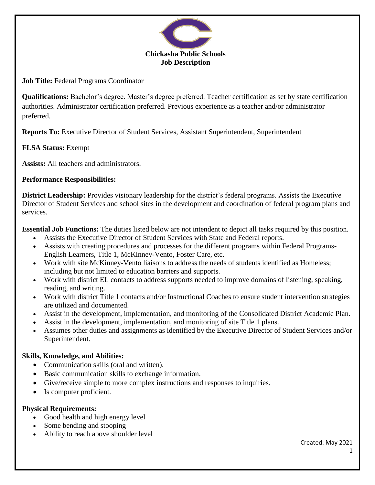

**Job Title:** Federal Programs Coordinator

**Qualifications:** Bachelor's degree. Master's degree preferred. Teacher certification as set by state certification authorities. Administrator certification preferred. Previous experience as a teacher and/or administrator preferred.

**Reports To:** Executive Director of Student Services, Assistant Superintendent, Superintendent

# **FLSA Status:** Exempt

**Assists:** All teachers and administrators.

## **Performance Responsibilities:**

**District Leadership:** Provides visionary leadership for the district's federal programs. Assists the Executive Director of Student Services and school sites in the development and coordination of federal program plans and services.

**Essential Job Functions:** The duties listed below are not intendent to depict all tasks required by this position.

- Assists the Executive Director of Student Services with State and Federal reports.
- Assists with creating procedures and processes for the different programs within Federal Programs-English Learners, Title 1, McKinney-Vento, Foster Care, etc.
- Work with site McKinney-Vento liaisons to address the needs of students identified as Homeless; including but not limited to education barriers and supports.
- Work with district EL contacts to address supports needed to improve domains of listening, speaking, reading, and writing.
- Work with district Title 1 contacts and/or Instructional Coaches to ensure student intervention strategies are utilized and documented.
- Assist in the development, implementation, and monitoring of the Consolidated District Academic Plan.
- Assist in the development, implementation, and monitoring of site Title 1 plans.
- Assumes other duties and assignments as identified by the Executive Director of Student Services and/or Superintendent.

## **Skills, Knowledge, and Abilities:**

- Communication skills (oral and written).
- Basic communication skills to exchange information.
- Give/receive simple to more complex instructions and responses to inquiries.
- Is computer proficient.

## **Physical Requirements:**

- Good health and high energy level
- Some bending and stooping
- Ability to reach above shoulder level

Created: May 2021